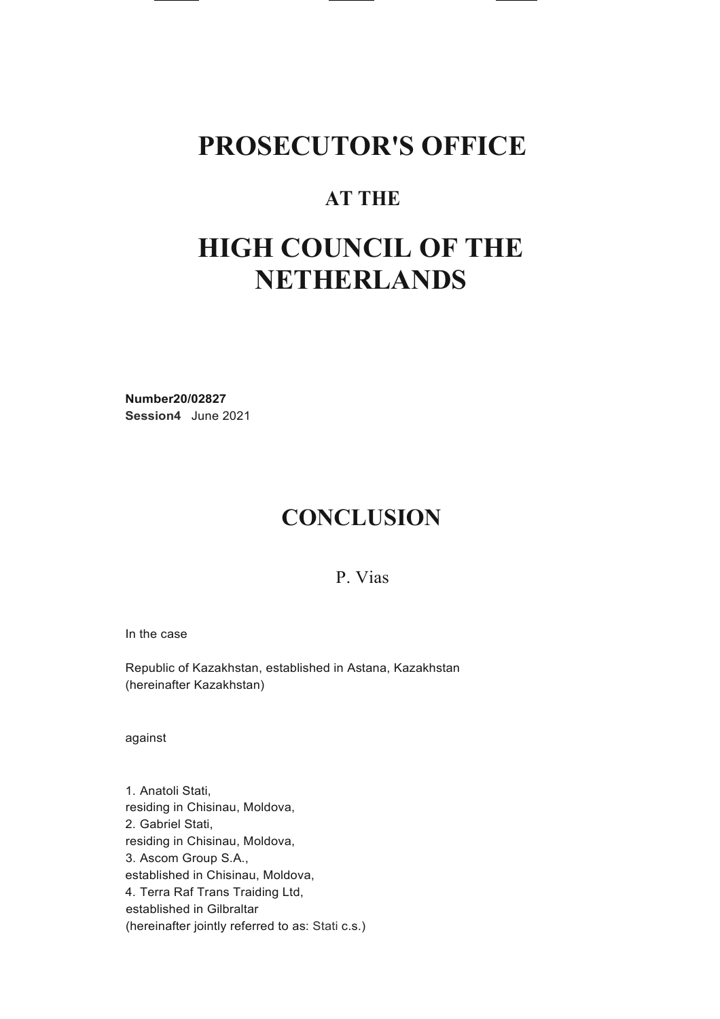### **PROSECUTOR'S OFFICE**

### **AT THE**

## **HIGH COUNCIL OF THE NETHERLANDS**

**Number20/02827 Session4** June 2021

### **CONCLUSION**

P. Vias

In the case

Republic of Kazakhstan, established in Astana, Kazakhstan (hereinafter Kazakhstan)

against

1. Anatoli Stati, residing in Chisinau, Moldova, 2. Gabriel Stati, residing in Chisinau, Moldova, 3. Ascom Group S.A., established in Chisinau, Moldova, 4. Terra Raf Trans Traiding Ltd, established in Gilbraltar (hereinafter jointly referred to as: Stati c.s.)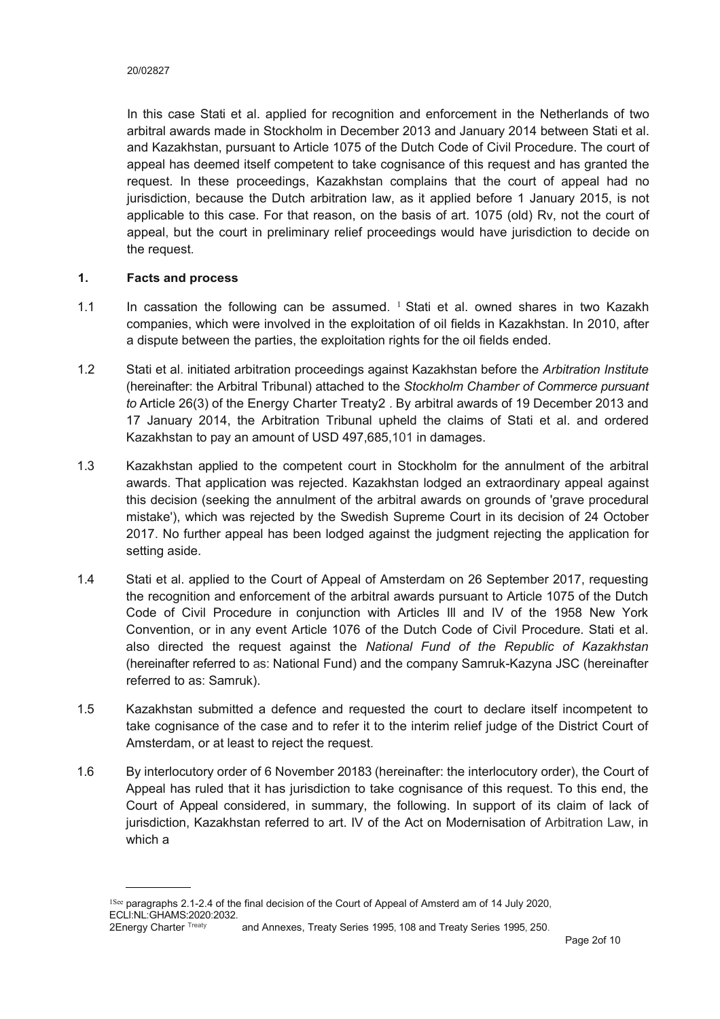In this case Stati et al. applied for recognition and enforcement in the Netherlands of two arbitral awards made in Stockholm in December 2013 and January 2014 between Stati et al. and Kazakhstan, pursuant to Article 1075 of the Dutch Code of Civil Procedure. The court of appeal has deemed itself competent to take cognisance of this request and has granted the request. In these proceedings, Kazakhstan complains that the court of appeal had no jurisdiction, because the Dutch arbitration law, as it applied before 1 January 2015, is not applicable to this case. For that reason, on the basis of art. 1075 (old) Rv, not the court of appeal, but the court in preliminary relief proceedings would have jurisdiction to decide on the request.

#### **1. Facts and process**

- 1.1 In cassation the following can be assumed.  $1$  Stati et al. owned shares in two Kazakh companies, which were involved in the exploitation of oil fields in Kazakhstan. In 2010, after a dispute between the parties, the exploitation rights for the oil fields ended.
- 1.2 Stati et al. initiated arbitration proceedings against Kazakhstan before the *Arbitration Institute*  (hereinafter: the Arbitral Tribunal) attached to the *Stockholm Chamber of Commerce pursuant to* Article 26(3) of the Energy Charter Treaty2 *.* By arbitral awards of 19 December 2013 and 17 January 2014, the Arbitration Tribunal upheld the claims of Stati et al. and ordered Kazakhstan to pay an amount of USD 497,685,101 in damages.
- 1.3 Kazakhstan applied to the competent court in Stockholm for the annulment of the arbitral awards. That application was rejected. Kazakhstan lodged an extraordinary appeal against this decision (seeking the annulment of the arbitral awards on grounds of 'grave procedural mistake'), which was rejected by the Swedish Supreme Court in its decision of 24 October 2017. No further appeal has been lodged against the judgment rejecting the application for setting aside.
- 1.4 Stati et al. applied to the Court of Appeal of Amsterdam on 26 September 2017, requesting the recognition and enforcement of the arbitral awards pursuant to Article 1075 of the Dutch Code of Civil Procedure in conjunction with Articles Ill and IV of the 1958 New York Convention, or in any event Article 1076 of the Dutch Code of Civil Procedure. Stati et al. also directed the request against the *National Fund of the Republic of Kazakhstan*  (hereinafter referred to as: National Fund) and the company Samruk-Kazyna JSC (hereinafter referred to as: Samruk).
- 1.5 Kazakhstan submitted a defence and requested the court to declare itself incompetent to take cognisance of the case and to refer it to the interim relief judge of the District Court of Amsterdam, or at least to reject the request.
- 1.6 By interlocutory order of 6 November 20183 (hereinafter: the interlocutory order), the Court of Appeal has ruled that it has jurisdiction to take cognisance of this request. To this end, the Court of Appeal considered, in summary, the following. In support of its claim of lack of jurisdiction, Kazakhstan referred to art. IV of the Act on Modernisation of Arbitration Law, in which a

<sup>&</sup>lt;sup>1See</sup> paragraphs 2.1-2.4 of the final decision of the Court of Appeal of Amsterd am of 14 July 2020, ECLI:NL:GHAMS:2020:2032.<br>2Energy Charter Treaty and Annexes, Treaty Series 1995, 108 and Treaty Series 1995, 250.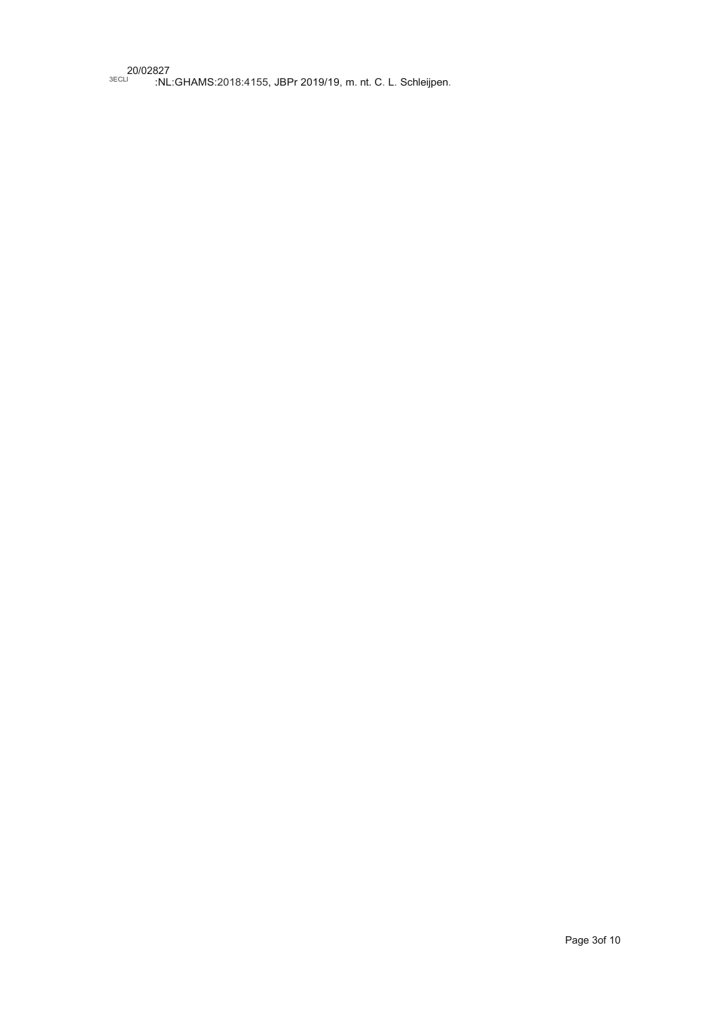20/02827 <sup>3ECLI</sup> :NL:GHAMS:2018:4155, JBPr 2019/19, m. nt. C. L. Schleijpen.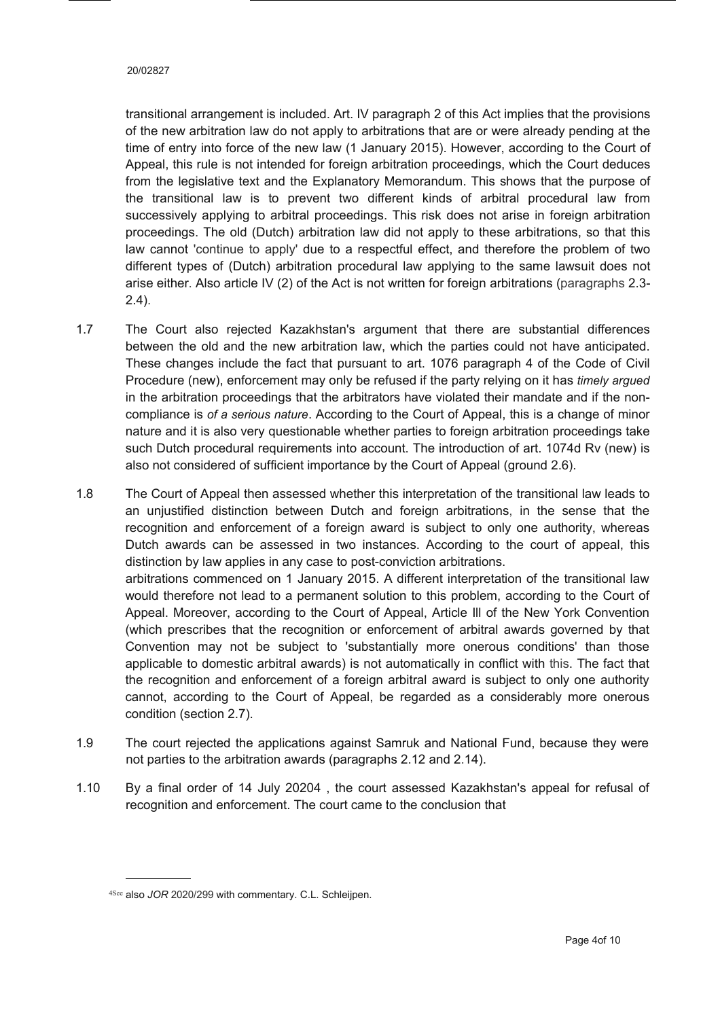transitional arrangement is included. Art. IV paragraph 2 of this Act implies that the provisions of the new arbitration law do not apply to arbitrations that are or were already pending at the time of entry into force of the new law (1 January 2015). However, according to the Court of Appeal, this rule is not intended for foreign arbitration proceedings, which the Court deduces from the legislative text and the Explanatory Memorandum. This shows that the purpose of the transitional law is to prevent two different kinds of arbitral procedural law from successively applying to arbitral proceedings. This risk does not arise in foreign arbitration proceedings. The old (Dutch) arbitration law did not apply to these arbitrations, so that this law cannot 'continue to apply' due to a respectful effect, and therefore the problem of two different types of (Dutch) arbitration procedural law applying to the same lawsuit does not arise either. Also article IV (2) of the Act is not written for foreign arbitrations (paragraphs 2.3- 2.4).

- 1.7 The Court also rejected Kazakhstan's argument that there are substantial differences between the old and the new arbitration law, which the parties could not have anticipated. These changes include the fact that pursuant to art. 1076 paragraph 4 of the Code of Civil Procedure (new), enforcement may only be refused if the party relying on it has *timely argued*  in the arbitration proceedings that the arbitrators have violated their mandate and if the noncompliance is *of a serious nature*. According to the Court of Appeal, this is a change of minor nature and it is also very questionable whether parties to foreign arbitration proceedings take such Dutch procedural requirements into account. The introduction of art. 1074d Rv (new) is also not considered of sufficient importance by the Court of Appeal (ground 2.6).
- 1.8 The Court of Appeal then assessed whether this interpretation of the transitional law leads to an unjustified distinction between Dutch and foreign arbitrations, in the sense that the recognition and enforcement of a foreign award is subject to only one authority, whereas Dutch awards can be assessed in two instances. According to the court of appeal, this distinction by law applies in any case to post-conviction arbitrations. arbitrations commenced on 1 January 2015. A different interpretation of the transitional law would therefore not lead to a permanent solution to this problem, according to the Court of Appeal. Moreover, according to the Court of Appeal, Article Ill of the New York Convention (which prescribes that the recognition or enforcement of arbitral awards governed by that Convention may not be subject to 'substantially more onerous conditions' than those applicable to domestic arbitral awards) is not automatically in conflict with this. The fact that the recognition and enforcement of a foreign arbitral award is subject to only one authority cannot, according to the Court of Appeal, be regarded as a considerably more onerous condition (section 2.7).
- 1.9 The court rejected the applications against Samruk and National Fund, because they were not parties to the arbitration awards (paragraphs 2.12 and 2.14).
- 1.10 By a final order of 14 July 20204 , the court assessed Kazakhstan's appeal for refusal of recognition and enforcement. The court came to the conclusion that

<sup>4</sup>See also *JOR* 2020/299 with commentary. C.L. Schleijpen.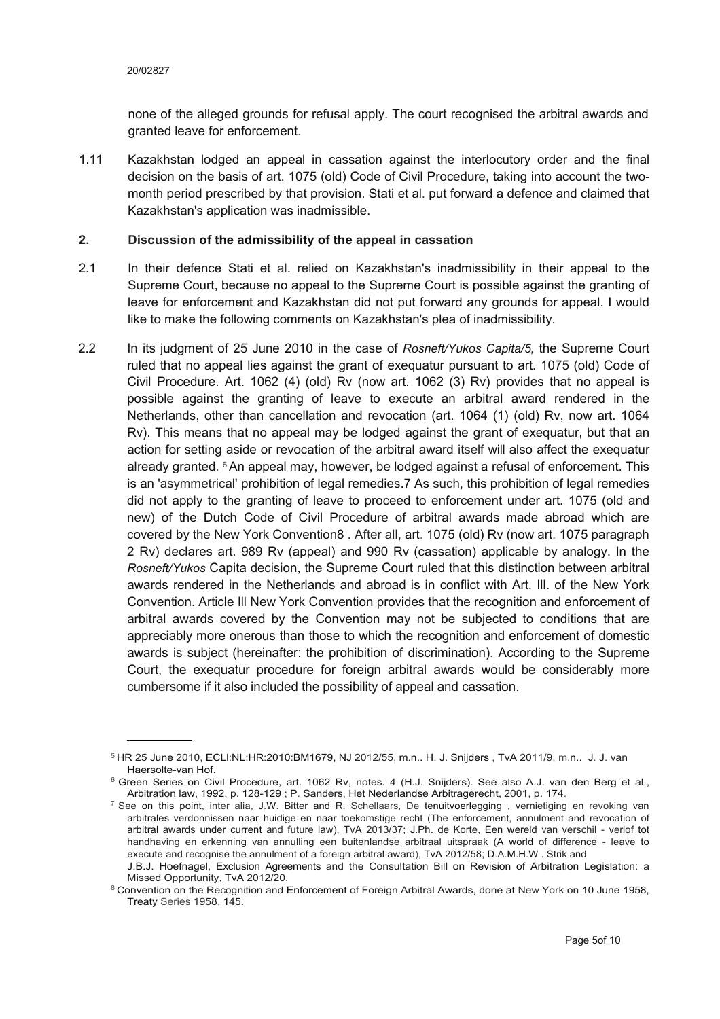none of the alleged grounds for refusal apply. The court recognised the arbitral awards and granted leave for enforcement.

1.11 Kazakhstan lodged an appeal in cassation against the interlocutory order and the final decision on the basis of art. 1075 (old) Code of Civil Procedure, taking into account the twomonth period prescribed by that provision. Stati et al. put forward a defence and claimed that Kazakhstan's application was inadmissible.

#### **2. Discussion of the admissibility of the appeal in cassation**

- 2.1 In their defence Stati et al. relied on Kazakhstan's inadmissibility in their appeal to the Supreme Court, because no appeal to the Supreme Court is possible against the granting of leave for enforcement and Kazakhstan did not put forward any grounds for appeal. I would like to make the following comments on Kazakhstan's plea of inadmissibility.
- 2.2 In its judgment of 25 June 2010 in the case of *Rosneft/Yukos Capita/5,* the Supreme Court ruled that no appeal lies against the grant of exequatur pursuant to art. 1075 (old) Code of Civil Procedure. Art. 1062 (4) (old) Rv (now art. 1062 (3) Rv) provides that no appeal is possible against the granting of leave to execute an arbitral award rendered in the Netherlands, other than cancellation and revocation (art. 1064 (1) (old) Rv, now art. 1064 Rv). This means that no appeal may be lodged against the grant of exequatur, but that an action for setting aside or revocation of the arbitral award itself will also affect the exequatur already granted. 6 An appeal may, however, be lodged against a refusal of enforcement. This is an 'asymmetrical' prohibition of legal remedies.7 As such, this prohibition of legal remedies did not apply to the granting of leave to proceed to enforcement under art. 1075 (old and new) of the Dutch Code of Civil Procedure of arbitral awards made abroad which are covered by the New York Convention8 . After all, art. 1075 (old) Rv (now art. 1075 paragraph 2 Rv) declares art. 989 Rv (appeal) and 990 Rv (cassation) applicable by analogy. In the *Rosneft/Yukos* Capita decision, the Supreme Court ruled that this distinction between arbitral awards rendered in the Netherlands and abroad is in conflict with Art. Ill. of the New York Convention. Article Ill New York Convention provides that the recognition and enforcement of arbitral awards covered by the Convention may not be subjected to conditions that are appreciably more onerous than those to which the recognition and enforcement of domestic awards is subject (hereinafter: the prohibition of discrimination). According to the Supreme Court, the exequatur procedure for foreign arbitral awards would be considerably more cumbersome if it also included the possibility of appeal and cassation.

<sup>5</sup> HR 25 June 2010, ECLl:NL:HR:2010:BM1679, NJ 2012/55, m.n.. H. J. Snijders , TvA 2011/9, m.n.. J. J. van Haersolte-van Hof.

<sup>6</sup> Green Series on Civil Procedure, art. 1062 Rv, notes. 4 (H.J. Snijders). See also A.J. van den Berg et al., Arbitration law, 1992, p. 128-129 ; P. Sanders, Het Nederlandse Arbitragerecht, 2001, p. 174.

 $7$  See on this point, inter alia, J.W. Bitter and R. Schellaars, De tenuitvoerlegging, vernietiging en revoking van arbitrales verdonnissen naar huidige en naar toekomstige recht (The enforcement, annulment and revocation of arbitral awards under current and future law), TvA 2013/37; J.Ph. de Korte, Een wereld van verschil - verlof tot handhaving en erkenning van annulling een buitenlandse arbitraal uitspraak (A world of difference - leave to execute and recognise the annulment of a foreign arbitral award), TvA 2012/58; D.A.M.H.W . Strik and

J.B.J. Hoefnagel, Exclusion Agreements and the Consultation Bill on Revision of Arbitration Legislation: a Missed Opportunity, TvA 2012/20.

<sup>8</sup> Convention on the Recognition and Enforcement of Foreign Arbitral Awards, done at New York on 10 June 1958, Treaty Series 1958, 145.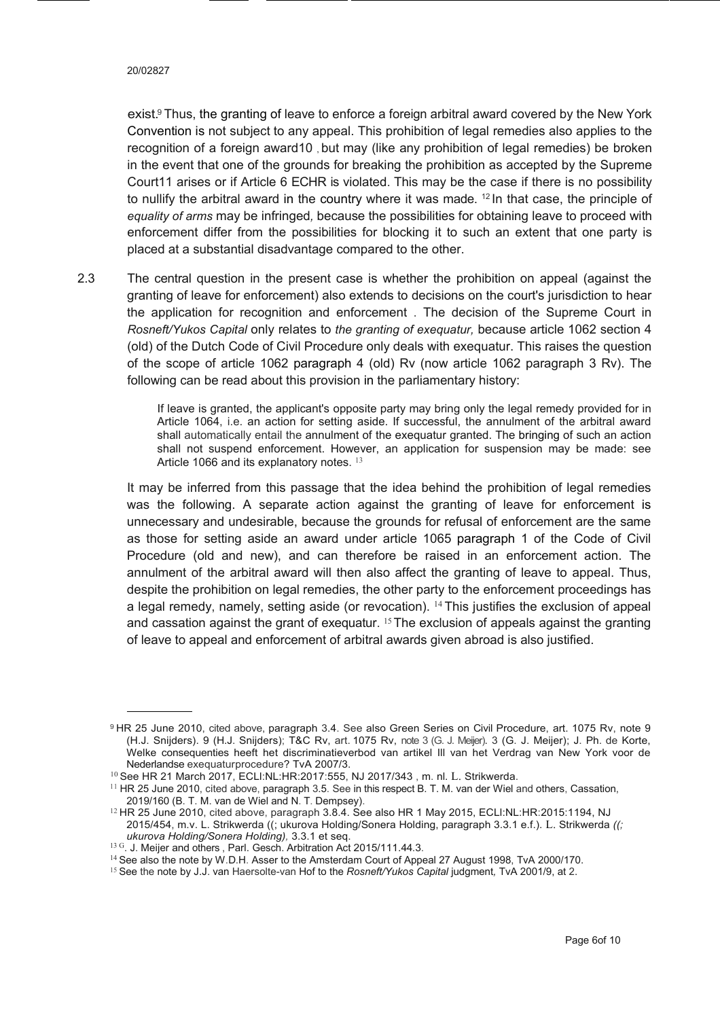exist.º Thus, the granting of leave to enforce a foreign arbitral award covered by the New York Convention is not subject to any appeal. This prohibition of legal remedies also applies to the recognition of a foreign award10 , but may (like any prohibition of legal remedies) be broken in the event that one of the grounds for breaking the prohibition as accepted by the Supreme Court11 arises or if Article 6 ECHR is violated. This may be the case if there is no possibility to nullify the arbitral award in the country where it was made. <sup>12</sup> In that case, the principle of *equality of arms* may be infringed*,* because the possibilities for obtaining leave to proceed with enforcement differ from the possibilities for blocking it to such an extent that one party is placed at a substantial disadvantage compared to the other.

2.3 The central question in the present case is whether the prohibition on appeal (against the granting of leave for enforcement) also extends to decisions on the court's jurisdiction to hear the application for recognition and enforcement . The decision of the Supreme Court in *Rosneft/Yukos Capital* only relates to *the granting of exequatur,* because article 1062 section 4 (old) of the Dutch Code of Civil Procedure only deals with exequatur. This raises the question of the scope of article 1062 paragraph 4 (old) Rv (now article 1062 paragraph 3 Rv). The following can be read about this provision in the parliamentary history:

> If leave is granted, the applicant's opposite party may bring only the legal remedy provided for in Article 1064, i.e. an action for setting aside. If successful, the annulment of the arbitral award shall automatically entail the annulment of the exequatur granted. The bringing of such an action shall not suspend enforcement. However, an application for suspension may be made: see Article 1066 and its explanatory notes. 13

It may be inferred from this passage that the idea behind the prohibition of legal remedies was the following. A separate action against the granting of leave for enforcement is unnecessary and undesirable, because the grounds for refusal of enforcement are the same as those for setting aside an award under article 1065 paragraph 1 of the Code of Civil Procedure (old and new), and can therefore be raised in an enforcement action. The annulment of the arbitral award will then also affect the granting of leave to appeal. Thus, despite the prohibition on legal remedies, the other party to the enforcement proceedings has a legal remedy, namely, setting aside (or revocation).  $14$  This justifies the exclusion of appeal and cassation against the grant of exequatur.  $15$  The exclusion of appeals against the granting of leave to appeal and enforcement of arbitral awards given abroad is also justified.

<sup>9</sup> HR 25 June 2010, cited above, paragraph 3.4. See also Green Series on Civil Procedure, art. 1075 Rv, note 9 (H.J. Snijders). 9 (H.J. Snijders); T&C Rv, art. 1075 Rv, note 3 (G. J. Meijer). 3 (G. J. Meijer); J. Ph. de Korte, Welke consequenties heeft het discriminatieverbod van artikel Ill van het Verdrag van New York voor de Nederlandse exequaturprocedure? TvA 2007/3.

<sup>10</sup>See HR 21 March 2017, ECLl:NL:HR:2017:555, NJ 2017/343 , m. nl. L. Strikwerda.

<sup>&</sup>lt;sup>11</sup> HR 25 June 2010, cited above, paragraph 3.5. See in this respect B. T. M. van der Wiel and others, Cassation, 2019/160 (B. T. M. van de Wiel and N. T. Dempsey).

<sup>&</sup>lt;sup>12</sup> HR 25 June 2010, cited above, paragraph 3.8.4. See also HR 1 May 2015, ECLI:NL:HR:2015:1194, NJ 2015/454, m.v. L. Strikwerda ((; ukurova Holding/Sonera Holding, paragraph 3.3.1 e.f.). L. Strikwerda *((; ukurova Holding/Sonera Holding),* 3.3.1 et seq.

<sup>&</sup>lt;sup>13 G</sup>. J. Meijer and others, Parl. Gesch. Arbitration Act 2015/111.44.3.

<sup>&</sup>lt;sup>14</sup> See also the note by W.D.H. Asser to the Amsterdam Court of Appeal 27 August 1998, TvA 2000/170.

<sup>15</sup> See the note by J.J. van Haersolte-van Hof to the *Rosneft/Yukos Capital* judgment*,* TvA 2001/9, at 2.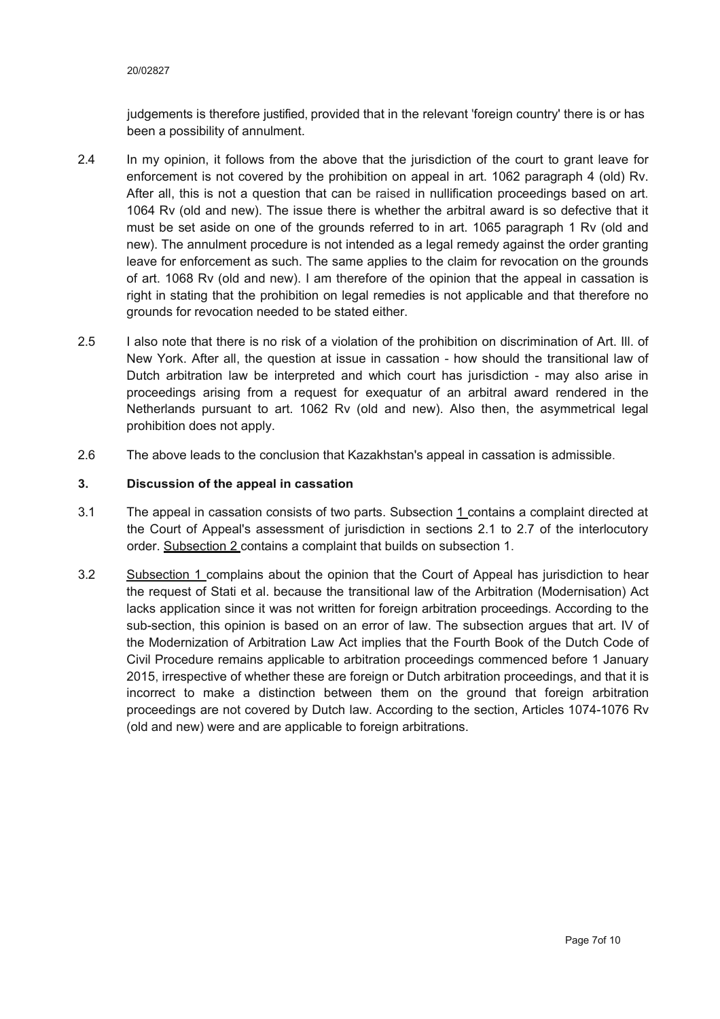judgements is therefore justified, provided that in the relevant 'foreign country' there is or has been a possibility of annulment.

- 2.4 In my opinion, it follows from the above that the jurisdiction of the court to grant leave for enforcement is not covered by the prohibition on appeal in art. 1062 paragraph 4 (old) Rv. After all, this is not a question that can be raised in nullification proceedings based on art. 1064 Rv (old and new). The issue there is whether the arbitral award is so defective that it must be set aside on one of the grounds referred to in art. 1065 paragraph 1 Rv (old and new). The annulment procedure is not intended as a legal remedy against the order granting leave for enforcement as such. The same applies to the claim for revocation on the grounds of art. 1068 Rv (old and new). I am therefore of the opinion that the appeal in cassation is right in stating that the prohibition on legal remedies is not applicable and that therefore no grounds for revocation needed to be stated either.
- 2.5 I also note that there is no risk of a violation of the prohibition on discrimination of Art. Ill. of New York. After all, the question at issue in cassation - how should the transitional law of Dutch arbitration law be interpreted and which court has jurisdiction - may also arise in proceedings arising from a request for exequatur of an arbitral award rendered in the Netherlands pursuant to art. 1062 Rv (old and new). Also then, the asymmetrical legal prohibition does not apply.
- 2.6 The above leads to the conclusion that Kazakhstan's appeal in cassation is admissible.

#### **3. Discussion of the appeal in cassation**

- 3.1 The appeal in cassation consists of two parts. Subsection 1 contains a complaint directed at the Court of Appeal's assessment of jurisdiction in sections 2.1 to 2.7 of the interlocutory order. Subsection 2 contains a complaint that builds on subsection 1.
- 3.2 Subsection 1 complains about the opinion that the Court of Appeal has jurisdiction to hear the request of Stati et al. because the transitional law of the Arbitration (Modernisation) Act lacks application since it was not written for foreign arbitration proceedings. According to the sub-section, this opinion is based on an error of law. The subsection argues that art. IV of the Modernization of Arbitration Law Act implies that the Fourth Book of the Dutch Code of Civil Procedure remains applicable to arbitration proceedings commenced before 1 January 2015, irrespective of whether these are foreign or Dutch arbitration proceedings, and that it is incorrect to make a distinction between them on the ground that foreign arbitration proceedings are not covered by Dutch law. According to the section, Articles 1074-1076 Rv (old and new) were and are applicable to foreign arbitrations.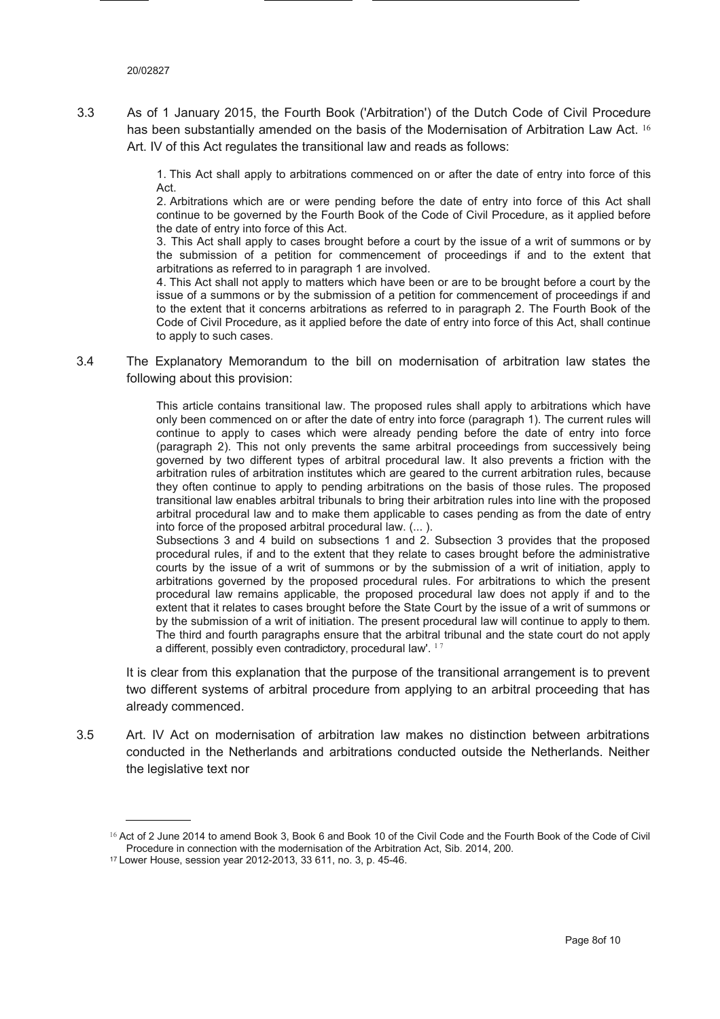3.3 As of 1 January 2015, the Fourth Book ('Arbitration') of the Dutch Code of Civil Procedure has been substantially amended on the basis of the Modernisation of Arbitration Law Act. <sup>16</sup> Art. IV of this Act regulates the transitional law and reads as follows:

> 1. This Act shall apply to arbitrations commenced on or after the date of entry into force of this Act.

> 2. Arbitrations which are or were pending before the date of entry into force of this Act shall continue to be governed by the Fourth Book of the Code of Civil Procedure, as it applied before the date of entry into force of this Act.

> 3. This Act shall apply to cases brought before a court by the issue of a writ of summons or by the submission of a petition for commencement of proceedings if and to the extent that arbitrations as referred to in paragraph 1 are involved.

> 4. This Act shall not apply to matters which have been or are to be brought before a court by the issue of a summons or by the submission of a petition for commencement of proceedings if and to the extent that it concerns arbitrations as referred to in paragraph 2. The Fourth Book of the Code of Civil Procedure, as it applied before the date of entry into force of this Act, shall continue to apply to such cases.

3.4 The Explanatory Memorandum to the bill on modernisation of arbitration law states the following about this provision:

> This article contains transitional law. The proposed rules shall apply to arbitrations which have only been commenced on or after the date of entry into force (paragraph 1). The current rules will continue to apply to cases which were already pending before the date of entry into force (paragraph 2). This not only prevents the same arbitral proceedings from successively being governed by two different types of arbitral procedural law. It also prevents a friction with the arbitration rules of arbitration institutes which are geared to the current arbitration rules, because they often continue to apply to pending arbitrations on the basis of those rules. The proposed transitional law enables arbitral tribunals to bring their arbitration rules into line with the proposed arbitral procedural law and to make them applicable to cases pending as from the date of entry into force of the proposed arbitral procedural law. (... ).

> Subsections 3 and 4 build on subsections 1 and 2. Subsection 3 provides that the proposed procedural rules, if and to the extent that they relate to cases brought before the administrative courts by the issue of a writ of summons or by the submission of a writ of initiation, apply to arbitrations governed by the proposed procedural rules. For arbitrations to which the present procedural law remains applicable, the proposed procedural law does not apply if and to the extent that it relates to cases brought before the State Court by the issue of a writ of summons or by the submission of a writ of initiation. The present procedural law will continue to apply to them. The third and fourth paragraphs ensure that the arbitral tribunal and the state court do not apply a different, possibly even contradictory, procedural law'.  $17$

It is clear from this explanation that the purpose of the transitional arrangement is to prevent two different systems of arbitral procedure from applying to an arbitral proceeding that has already commenced.

3.5 Art. IV Act on modernisation of arbitration law makes no distinction between arbitrations conducted in the Netherlands and arbitrations conducted outside the Netherlands. Neither the legislative text nor

<sup>&</sup>lt;sup>16</sup> Act of 2 June 2014 to amend Book 3, Book 6 and Book 10 of the Civil Code and the Fourth Book of the Code of Civil Procedure in connection with the modernisation of the Arbitration Act, Sib. 2014, 200.

<sup>17</sup> Lower House, session year 2012-2013, 33 611, no. 3, p. 45-46.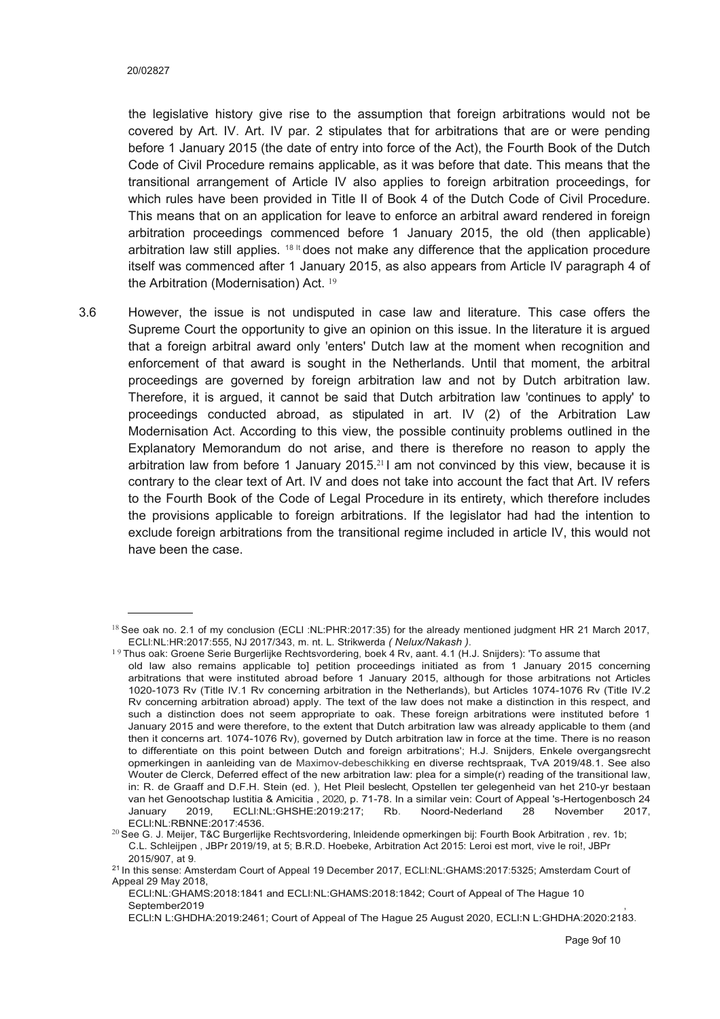the legislative history give rise to the assumption that foreign arbitrations would not be covered by Art. IV. Art. IV par. 2 stipulates that for arbitrations that are or were pending before 1 January 2015 (the date of entry into force of the Act), the Fourth Book of the Dutch Code of Civil Procedure remains applicable, as it was before that date. This means that the transitional arrangement of Article IV also applies to foreign arbitration proceedings, for which rules have been provided in Title II of Book 4 of the Dutch Code of Civil Procedure. This means that on an application for leave to enforce an arbitral award rendered in foreign arbitration proceedings commenced before 1 January 2015, the old (then applicable) arbitration law still applies.  $18$  It does not make any difference that the application procedure itself was commenced after 1 January 2015, as also appears from Article IV paragraph 4 of the Arbitration (Modernisation) Act. <sup>19</sup>

3.6 However, the issue is not undisputed in case law and literature. This case offers the Supreme Court the opportunity to give an opinion on this issue. In the literature it is argued that a foreign arbitral award only 'enters' Dutch law at the moment when recognition and enforcement of that award is sought in the Netherlands. Until that moment, the arbitral proceedings are governed by foreign arbitration law and not by Dutch arbitration law. Therefore, it is argued, it cannot be said that Dutch arbitration law 'continues to apply' to proceedings conducted abroad, as stipulated in art. IV (2) of the Arbitration Law Modernisation Act. According to this view, the possible continuity problems outlined in the Explanatory Memorandum do not arise, and there is therefore no reason to apply the arbitration law from before 1 January 2015.<sup>21</sup> I am not convinced by this view, because it is contrary to the clear text of Art. IV and does not take into account the fact that Art. IV refers to the Fourth Book of the Code of Legal Procedure in its entirety, which therefore includes the provisions applicable to foreign arbitrations. If the legislator had had the intention to exclude foreign arbitrations from the transitional regime included in article IV, this would not have been the case.

<sup>&</sup>lt;sup>18</sup> See oak no. 2.1 of my conclusion (ECLI:NL:PHR:2017:35) for the already mentioned judgment HR 21 March 2017, ECLl:NL:HR:2017:555, NJ 2017/343, m. nt. L. Strikwerda *( Nelux/Nakash ).*

<sup>&</sup>lt;sup>19</sup> Thus oak: Groene Serie Burgerlijke Rechtsvordering, boek 4 Rv, aant. 4.1 (H.J. Snijders): 'To assume that

old law also remains applicable to] petition proceedings initiated as from 1 January 2015 concerning arbitrations that were instituted abroad before 1 January 2015, although for those arbitrations not Articles 1020-1073 Rv (Title IV.1 Rv concerning arbitration in the Netherlands), but Articles 1074-1076 Rv (Title IV.2 Rv concerning arbitration abroad) apply. The text of the law does not make a distinction in this respect, and such a distinction does not seem appropriate to oak. These foreign arbitrations were instituted before 1 January 2015 and were therefore, to the extent that Dutch arbitration law was already applicable to them (and then it concerns art. 1074-1076 Rv), governed by Dutch arbitration law in force at the time. There is no reason to differentiate on this point between Dutch and foreign arbitrations'; H.J. Snijders, Enkele overgangsrecht opmerkingen in aanleiding van de Maximov-debeschikking en diverse rechtspraak, TvA 2019/48.1. See also Wouter de Clerck, Deferred effect of the new arbitration law: plea for a simple(r) reading of the transitional law, in: R. de Graaff and D.F.H. Stein (ed. ), Het Pleil beslecht, Opstellen ter gelegenheid van het 210-yr bestaan van het Genootschap lustitia & Amicitia , 2020, p. 71-78. In a similar vein: Court of Appeal 's-Hertogenbosch 24 January 2019, ECLl:NL:GHSHE:2019:217; Rb. Noord-Nederland 28 November 2017,

<sup>&</sup>lt;sup>20</sup> See G. J. Meijer, T&C Burgerlijke Rechtsvordering, Inleidende opmerkingen bij: Fourth Book Arbitration , rev. 1b; C.L. Schleijpen , JBPr 2019/19, at 5; B.R.D. Hoebeke, Arbitration Act 2015: Leroi est mort, vive le roi!, JBPr 2015/907, at 9.

<sup>21</sup> In this sense: Amsterdam Court of Appeal 19 December 2017, ECLl:NL:GHAMS:2017:5325; Amsterdam Court of Appeal 29 May 2018,

ECLl:NL:GHAMS:2018:1841 and ECLl:NL:GHAMS:2018:1842; Court of Appeal of The Hague 10 September2019

ECLl:N L:GHDHA:2019:2461; Court of Appeal of The Hague 25 August 2020, ECLl:N L:GHDHA:2020:2183.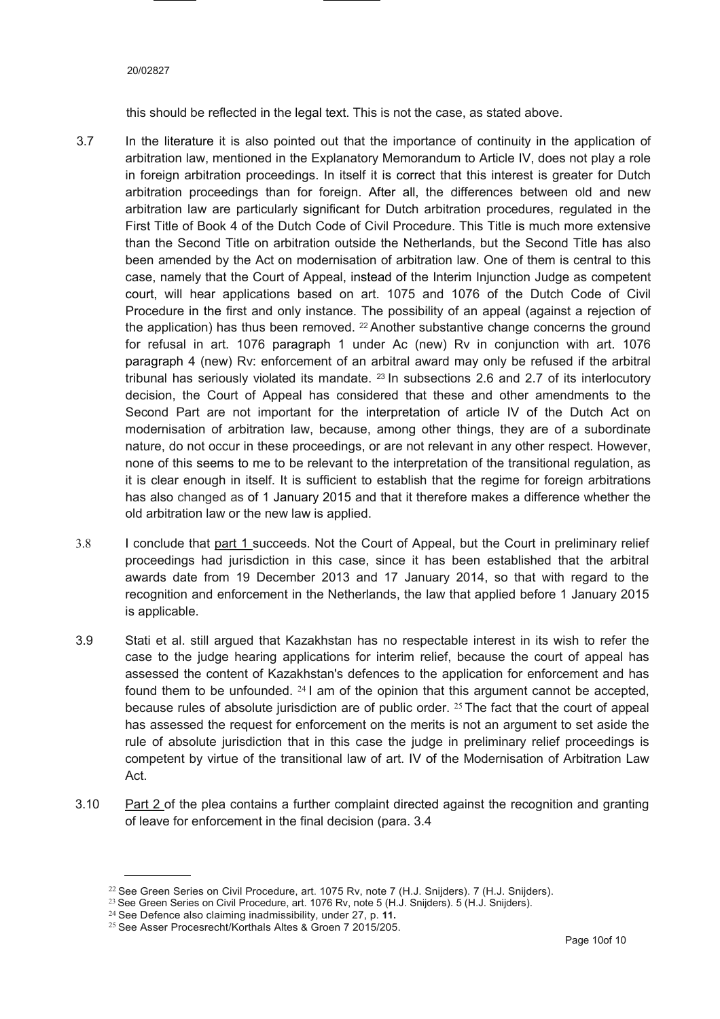#### 20/02827

this should be reflected in the legal text. This is not the case, as stated above.

- 3.7 In the literature it is also pointed out that the importance of continuity in the application of arbitration law, mentioned in the Explanatory Memorandum to Article IV, does not play a role in foreign arbitration proceedings. In itself it is correct that this interest is greater for Dutch arbitration proceedings than for foreign. After all, the differences between old and new arbitration law are particularly significant for Dutch arbitration procedures, regulated in the First Title of Book 4 of the Dutch Code of Civil Procedure. This Title is much more extensive than the Second Title on arbitration outside the Netherlands, but the Second Title has also been amended by the Act on modernisation of arbitration law. One of them is central to this case, namely that the Court of Appeal, instead of the Interim Injunction Judge as competent court, will hear applications based on art. 1075 and 1076 of the Dutch Code of Civil Procedure in the first and only instance. The possibility of an appeal (against a rejection of the application) has thus been removed.  $22$  Another substantive change concerns the ground for refusal in art. 1076 paragraph 1 under Ac (new) Rv in conjunction with art. 1076 paragraph 4 (new) Rv: enforcement of an arbitral award may only be refused if the arbitral tribunal has seriously violated its mandate.  $^{23}$  In subsections 2.6 and 2.7 of its interlocutory decision, the Court of Appeal has considered that these and other amendments to the Second Part are not important for the interpretation of article IV of the Dutch Act on modernisation of arbitration law, because, among other things, they are of a subordinate nature, do not occur in these proceedings, or are not relevant in any other respect. However, none of this seems to me to be relevant to the interpretation of the transitional regulation, as it is clear enough in itself. It is sufficient to establish that the regime for foreign arbitrations has also changed as of 1 January 2015 and that it therefore makes a difference whether the old arbitration law or the new law is applied.
- 3.8 I conclude that part 1 succeeds. Not the Court of Appeal, but the Court in preliminary relief proceedings had jurisdiction in this case, since it has been established that the arbitral awards date from 19 December 2013 and 17 January 2014, so that with regard to the recognition and enforcement in the Netherlands, the law that applied before 1 January 2015 is applicable.
- 3.9 Stati et al. still argued that Kazakhstan has no respectable interest in its wish to refer the case to the judge hearing applications for interim relief, because the court of appeal has assessed the content of Kazakhstan's defences to the application for enforcement and has found them to be unfounded.  $241$  am of the opinion that this argument cannot be accepted, because rules of absolute jurisdiction are of public order. <sup>25</sup> The fact that the court of appeal has assessed the request for enforcement on the merits is not an argument to set aside the rule of absolute jurisdiction that in this case the judge in preliminary relief proceedings is competent by virtue of the transitional law of art. IV of the Modernisation of Arbitration Law Act.
- 3.10 Part 2 of the plea contains a further complaint directed against the recognition and granting of leave for enforcement in the final decision (para. 3.4

<sup>&</sup>lt;sup>22</sup> See Green Series on Civil Procedure, art. 1075 Rv, note 7 (H.J. Snijders). 7 (H.J. Snijders).

<sup>&</sup>lt;sup>23</sup> See Green Series on Civil Procedure, art. 1076 Rv, note 5 (H.J. Snijders). 5 (H.J. Snijders).

<sup>24</sup>See Defence also claiming inadmissibility, under 27, p. **11.**

<sup>25</sup> See Asser Procesrecht/Korthals Altes & Groen 7 2015/205.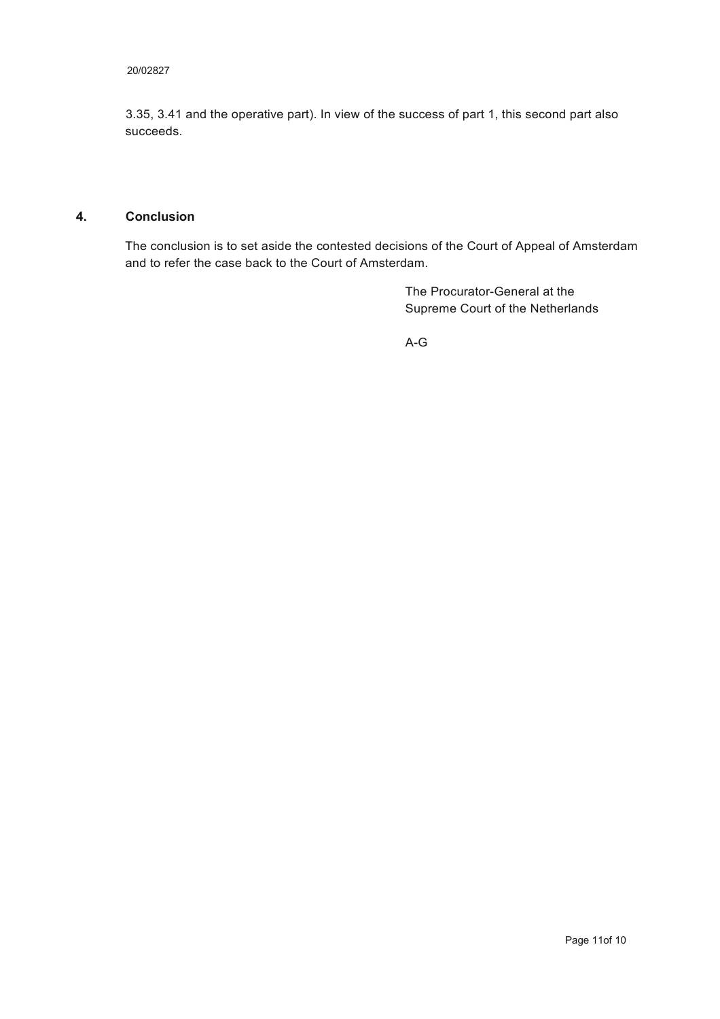#### 20/02827

3.35, 3.41 and the operative part). In view of the success of part 1, this second part also succeeds.

#### **4. Conclusion**

The conclusion is to set aside the contested decisions of the Court of Appeal of Amsterdam and to refer the case back to the Court of Amsterdam.

> The Procurator-General at the Supreme Court of the Netherlands

A-G